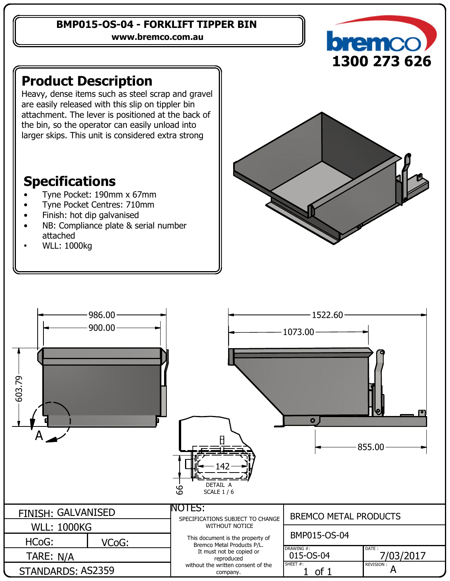#### **BMP015-OS-04 - FORKLIFT TIPPER BIN**

**www.bremco.com.au**



# **Product Description**

Heavy, dense items such as steel scrap and gravel are easily released with this slip on tippler bin attachment. The lever is positioned at the back of the bin, so the operator can easily unload into larger skips. This unit is considered extra strong

## **Specifications**

- Tyne Pocket: 190mm x 67mm
- Tyne Pocket Centres: 710mm
- Finish: hot dip galvanised
- NB: Compliance plate & serial number attached
- WLL: 1000kg